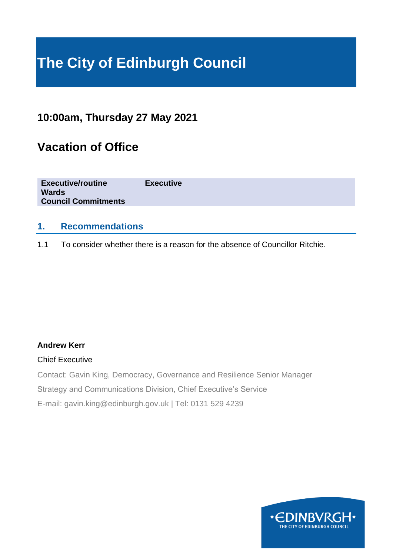# **The City of Edinburgh Council**

### **10:00am, Thursday 27 May 2021**

# **Vacation of Office**

| <b>Executive/routine</b>   | <b>Executive</b> |
|----------------------------|------------------|
| <b>Wards</b>               |                  |
| <b>Council Commitments</b> |                  |
|                            |                  |

### **1. Recommendations**

1.1 To consider whether there is a reason for the absence of Councillor Ritchie.

#### **Andrew Kerr**

#### Chief Executive

Contact: Gavin King, Democracy, Governance and Resilience Senior Manager

Strategy and Communications Division, Chief Executive's Service

E-mail: gavin.king@edinburgh.gov.uk | Tel: 0131 529 4239

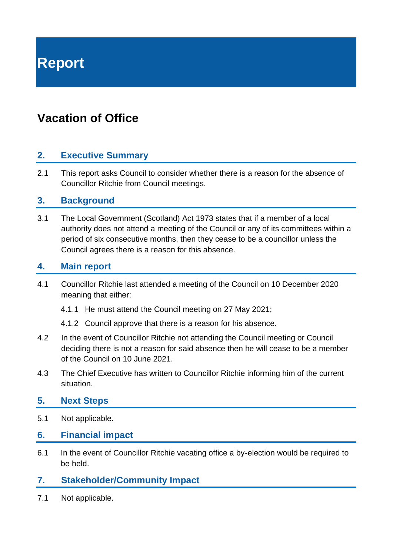**Report**

# **Vacation of Office**

### **2. Executive Summary**

2.1 This report asks Council to consider whether there is a reason for the absence of Councillor Ritchie from Council meetings.

### **3. Background**

3.1 The Local Government (Scotland) Act 1973 states that if a member of a local authority does not attend a meeting of the Council or any of its committees within a period of six consecutive months, then they cease to be a councillor unless the Council agrees there is a reason for this absence.

### **4. Main report**

- 4.1 Councillor Ritchie last attended a meeting of the Council on 10 December 2020 meaning that either:
	- 4.1.1 He must attend the Council meeting on 27 May 2021;
	- 4.1.2 Council approve that there is a reason for his absence.
- 4.2 In the event of Councillor Ritchie not attending the Council meeting or Council deciding there is not a reason for said absence then he will cease to be a member of the Council on 10 June 2021.
- 4.3 The Chief Executive has written to Councillor Ritchie informing him of the current situation.

#### **5. Next Steps**

- 5.1 Not applicable.
- **6. Financial impact**
- 6.1 In the event of Councillor Ritchie vacating office a by-election would be required to be held.
- **7. Stakeholder/Community Impact**
- 7.1 Not applicable.